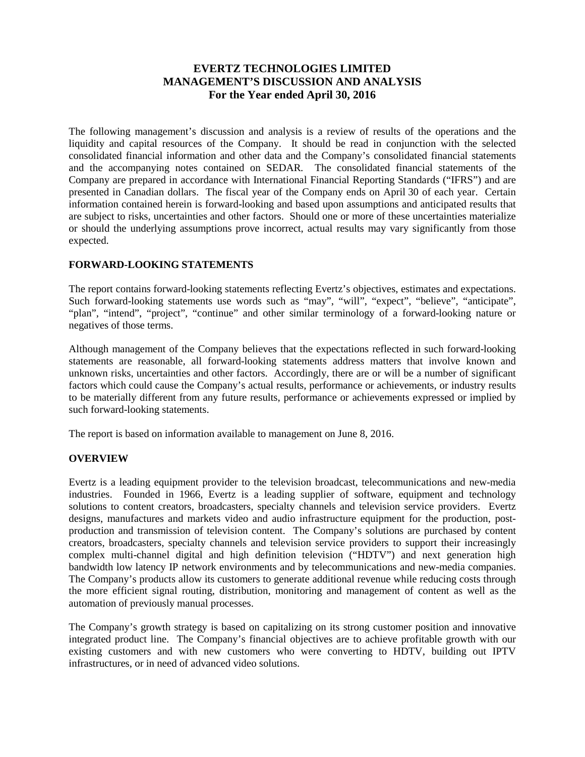# **EVERTZ TECHNOLOGIES LIMITED MANAGEMENT'S DISCUSSION AND ANALYSIS For the Year ended April 30, 2016**

The following management's discussion and analysis is a review of results of the operations and the liquidity and capital resources of the Company. It should be read in conjunction with the selected consolidated financial information and other data and the Company's consolidated financial statements and the accompanying notes contained on SEDAR. The consolidated financial statements of the Company are prepared in accordance with International Financial Reporting Standards ("IFRS") and are presented in Canadian dollars. The fiscal year of the Company ends on April 30 of each year. Certain information contained herein is forward-looking and based upon assumptions and anticipated results that are subject to risks, uncertainties and other factors. Should one or more of these uncertainties materialize or should the underlying assumptions prove incorrect, actual results may vary significantly from those expected.

# **FORWARD-LOOKING STATEMENTS**

The report contains forward-looking statements reflecting Evertz's objectives, estimates and expectations. Such forward-looking statements use words such as "may", "will", "expect", "believe", "anticipate", "plan", "intend", "project", "continue" and other similar terminology of a forward-looking nature or negatives of those terms.

Although management of the Company believes that the expectations reflected in such forward-looking statements are reasonable, all forward-looking statements address matters that involve known and unknown risks, uncertainties and other factors. Accordingly, there are or will be a number of significant factors which could cause the Company's actual results, performance or achievements, or industry results to be materially different from any future results, performance or achievements expressed or implied by such forward-looking statements.

The report is based on information available to management on June 8, 2016.

# **OVERVIEW**

Evertz is a leading equipment provider to the television broadcast, telecommunications and new-media industries. Founded in 1966, Evertz is a leading supplier of software, equipment and technology solutions to content creators, broadcasters, specialty channels and television service providers. Evertz designs, manufactures and markets video and audio infrastructure equipment for the production, postproduction and transmission of television content. The Company's solutions are purchased by content creators, broadcasters, specialty channels and television service providers to support their increasingly complex multi-channel digital and high definition television ("HDTV") and next generation high bandwidth low latency IP network environments and by telecommunications and new-media companies. The Company's products allow its customers to generate additional revenue while reducing costs through the more efficient signal routing, distribution, monitoring and management of content as well as the automation of previously manual processes.

The Company's growth strategy is based on capitalizing on its strong customer position and innovative integrated product line. The Company's financial objectives are to achieve profitable growth with our existing customers and with new customers who were converting to HDTV, building out IPTV infrastructures, or in need of advanced video solutions.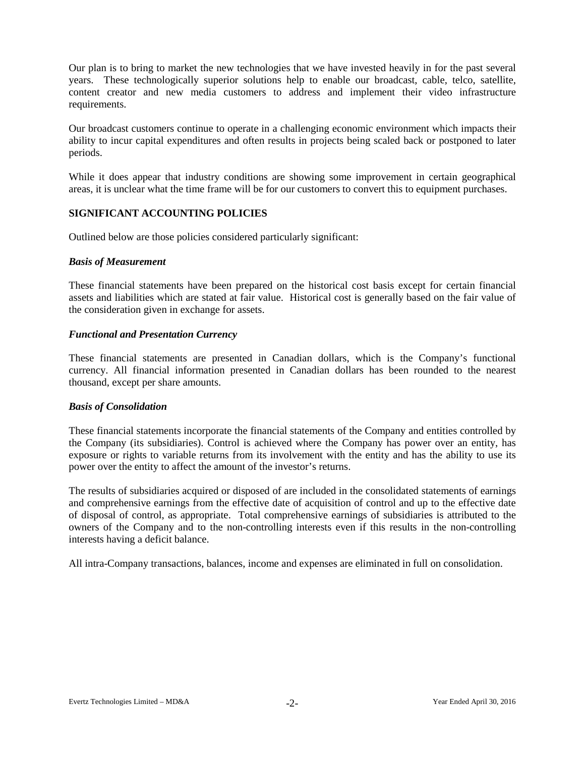Our plan is to bring to market the new technologies that we have invested heavily in for the past several years. These technologically superior solutions help to enable our broadcast, cable, telco, satellite, content creator and new media customers to address and implement their video infrastructure requirements.

Our broadcast customers continue to operate in a challenging economic environment which impacts their ability to incur capital expenditures and often results in projects being scaled back or postponed to later periods.

While it does appear that industry conditions are showing some improvement in certain geographical areas, it is unclear what the time frame will be for our customers to convert this to equipment purchases.

# **SIGNIFICANT ACCOUNTING POLICIES**

Outlined below are those policies considered particularly significant:

#### *Basis of Measurement*

These financial statements have been prepared on the historical cost basis except for certain financial assets and liabilities which are stated at fair value. Historical cost is generally based on the fair value of the consideration given in exchange for assets.

#### *Functional and Presentation Currency*

These financial statements are presented in Canadian dollars, which is the Company's functional currency. All financial information presented in Canadian dollars has been rounded to the nearest thousand, except per share amounts.

#### *Basis of Consolidation*

These financial statements incorporate the financial statements of the Company and entities controlled by the Company (its subsidiaries). Control is achieved where the Company has power over an entity, has exposure or rights to variable returns from its involvement with the entity and has the ability to use its power over the entity to affect the amount of the investor's returns.

The results of subsidiaries acquired or disposed of are included in the consolidated statements of earnings and comprehensive earnings from the effective date of acquisition of control and up to the effective date of disposal of control, as appropriate. Total comprehensive earnings of subsidiaries is attributed to the owners of the Company and to the non-controlling interests even if this results in the non-controlling interests having a deficit balance.

All intra-Company transactions, balances, income and expenses are eliminated in full on consolidation.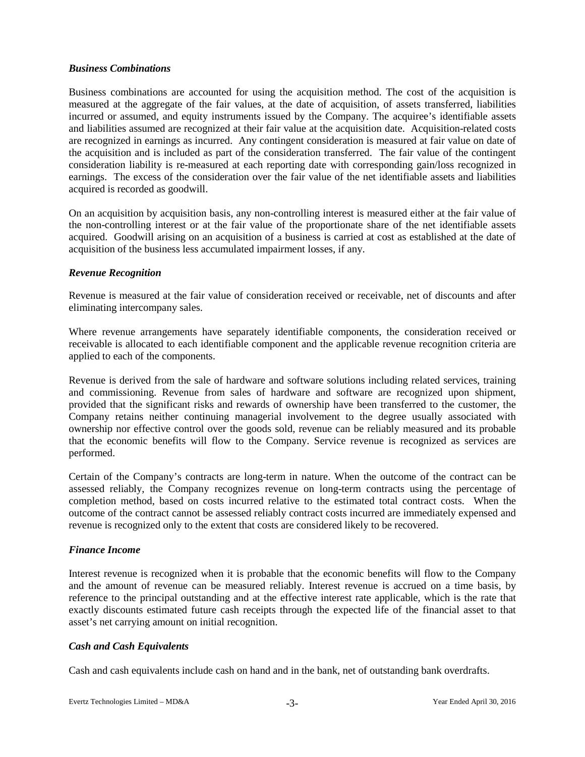# *Business Combinations*

Business combinations are accounted for using the acquisition method. The cost of the acquisition is measured at the aggregate of the fair values, at the date of acquisition, of assets transferred, liabilities incurred or assumed, and equity instruments issued by the Company. The acquiree's identifiable assets and liabilities assumed are recognized at their fair value at the acquisition date. Acquisition-related costs are recognized in earnings as incurred. Any contingent consideration is measured at fair value on date of the acquisition and is included as part of the consideration transferred. The fair value of the contingent consideration liability is re-measured at each reporting date with corresponding gain/loss recognized in earnings. The excess of the consideration over the fair value of the net identifiable assets and liabilities acquired is recorded as goodwill.

On an acquisition by acquisition basis, any non-controlling interest is measured either at the fair value of the non-controlling interest or at the fair value of the proportionate share of the net identifiable assets acquired. Goodwill arising on an acquisition of a business is carried at cost as established at the date of acquisition of the business less accumulated impairment losses, if any.

### *Revenue Recognition*

Revenue is measured at the fair value of consideration received or receivable, net of discounts and after eliminating intercompany sales.

Where revenue arrangements have separately identifiable components, the consideration received or receivable is allocated to each identifiable component and the applicable revenue recognition criteria are applied to each of the components.

Revenue is derived from the sale of hardware and software solutions including related services, training and commissioning. Revenue from sales of hardware and software are recognized upon shipment, provided that the significant risks and rewards of ownership have been transferred to the customer, the Company retains neither continuing managerial involvement to the degree usually associated with ownership nor effective control over the goods sold, revenue can be reliably measured and its probable that the economic benefits will flow to the Company. Service revenue is recognized as services are performed.

Certain of the Company's contracts are long-term in nature. When the outcome of the contract can be assessed reliably, the Company recognizes revenue on long-term contracts using the percentage of completion method, based on costs incurred relative to the estimated total contract costs. When the outcome of the contract cannot be assessed reliably contract costs incurred are immediately expensed and revenue is recognized only to the extent that costs are considered likely to be recovered.

# *Finance Income*

Interest revenue is recognized when it is probable that the economic benefits will flow to the Company and the amount of revenue can be measured reliably. Interest revenue is accrued on a time basis, by reference to the principal outstanding and at the effective interest rate applicable, which is the rate that exactly discounts estimated future cash receipts through the expected life of the financial asset to that asset's net carrying amount on initial recognition.

# *Cash and Cash Equivalents*

Cash and cash equivalents include cash on hand and in the bank, net of outstanding bank overdrafts.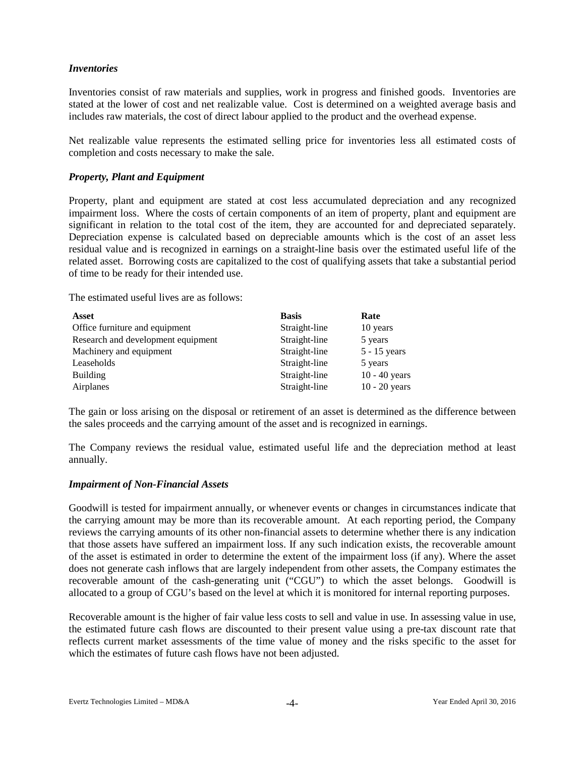# *Inventories*

Inventories consist of raw materials and supplies, work in progress and finished goods. Inventories are stated at the lower of cost and net realizable value. Cost is determined on a weighted average basis and includes raw materials, the cost of direct labour applied to the product and the overhead expense.

Net realizable value represents the estimated selling price for inventories less all estimated costs of completion and costs necessary to make the sale.

### *Property, Plant and Equipment*

Property, plant and equipment are stated at cost less accumulated depreciation and any recognized impairment loss. Where the costs of certain components of an item of property, plant and equipment are significant in relation to the total cost of the item, they are accounted for and depreciated separately. Depreciation expense is calculated based on depreciable amounts which is the cost of an asset less residual value and is recognized in earnings on a straight-line basis over the estimated useful life of the related asset. Borrowing costs are capitalized to the cost of qualifying assets that take a substantial period of time to be ready for their intended use.

The estimated useful lives are as follows:

| <b>Asset</b>                       | <b>Basis</b>  | Rate            |
|------------------------------------|---------------|-----------------|
| Office furniture and equipment     | Straight-line | 10 years        |
| Research and development equipment | Straight-line | 5 years         |
| Machinery and equipment            | Straight-line | $5 - 15$ years  |
| Leaseholds                         | Straight-line | 5 years         |
| <b>Building</b>                    | Straight-line | $10 - 40$ years |
| Airplanes                          | Straight-line | $10 - 20$ years |

The gain or loss arising on the disposal or retirement of an asset is determined as the difference between the sales proceeds and the carrying amount of the asset and is recognized in earnings.

The Company reviews the residual value, estimated useful life and the depreciation method at least annually.

#### *Impairment of Non-Financial Assets*

Goodwill is tested for impairment annually, or whenever events or changes in circumstances indicate that the carrying amount may be more than its recoverable amount. At each reporting period, the Company reviews the carrying amounts of its other non-financial assets to determine whether there is any indication that those assets have suffered an impairment loss. If any such indication exists, the recoverable amount of the asset is estimated in order to determine the extent of the impairment loss (if any). Where the asset does not generate cash inflows that are largely independent from other assets, the Company estimates the recoverable amount of the cash-generating unit ("CGU") to which the asset belongs. Goodwill is allocated to a group of CGU's based on the level at which it is monitored for internal reporting purposes.

Recoverable amount is the higher of fair value less costs to sell and value in use. In assessing value in use, the estimated future cash flows are discounted to their present value using a pre-tax discount rate that reflects current market assessments of the time value of money and the risks specific to the asset for which the estimates of future cash flows have not been adjusted.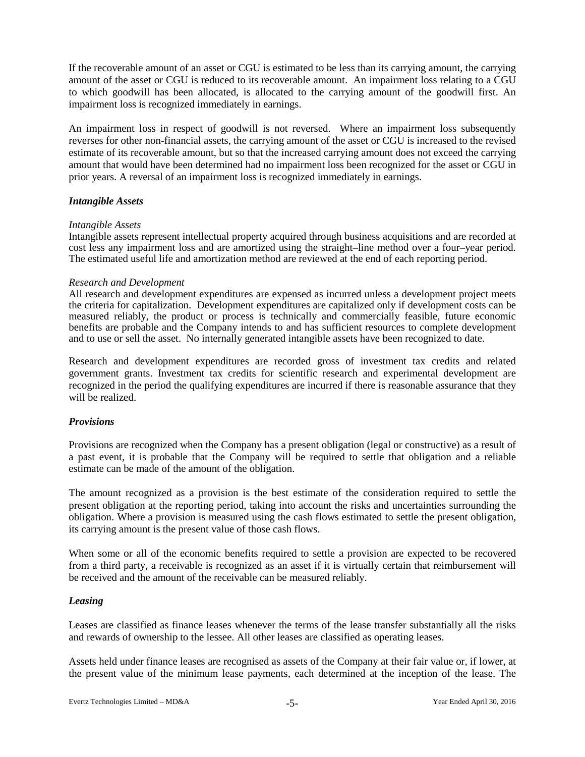If the recoverable amount of an asset or CGU is estimated to be less than its carrying amount, the carrying amount of the asset or CGU is reduced to its recoverable amount. An impairment loss relating to a CGU to which goodwill has been allocated, is allocated to the carrying amount of the goodwill first. An impairment loss is recognized immediately in earnings.

An impairment loss in respect of goodwill is not reversed. Where an impairment loss subsequently reverses for other non-financial assets, the carrying amount of the asset or CGU is increased to the revised estimate of its recoverable amount, but so that the increased carrying amount does not exceed the carrying amount that would have been determined had no impairment loss been recognized for the asset or CGU in prior years. A reversal of an impairment loss is recognized immediately in earnings.

### *Intangible Assets*

#### *Intangible Assets*

Intangible assets represent intellectual property acquired through business acquisitions and are recorded at cost less any impairment loss and are amortized using the straight–line method over a four–year period. The estimated useful life and amortization method are reviewed at the end of each reporting period.

### *Research and Development*

All research and development expenditures are expensed as incurred unless a development project meets the criteria for capitalization. Development expenditures are capitalized only if development costs can be measured reliably, the product or process is technically and commercially feasible, future economic benefits are probable and the Company intends to and has sufficient resources to complete development and to use or sell the asset. No internally generated intangible assets have been recognized to date.

Research and development expenditures are recorded gross of investment tax credits and related government grants. Investment tax credits for scientific research and experimental development are recognized in the period the qualifying expenditures are incurred if there is reasonable assurance that they will be realized.

# *Provisions*

Provisions are recognized when the Company has a present obligation (legal or constructive) as a result of a past event, it is probable that the Company will be required to settle that obligation and a reliable estimate can be made of the amount of the obligation.

The amount recognized as a provision is the best estimate of the consideration required to settle the present obligation at the reporting period, taking into account the risks and uncertainties surrounding the obligation. Where a provision is measured using the cash flows estimated to settle the present obligation, its carrying amount is the present value of those cash flows.

When some or all of the economic benefits required to settle a provision are expected to be recovered from a third party, a receivable is recognized as an asset if it is virtually certain that reimbursement will be received and the amount of the receivable can be measured reliably.

# *Leasing*

Leases are classified as finance leases whenever the terms of the lease transfer substantially all the risks and rewards of ownership to the lessee. All other leases are classified as operating leases.

Assets held under finance leases are recognised as assets of the Company at their fair value or, if lower, at the present value of the minimum lease payments, each determined at the inception of the lease. The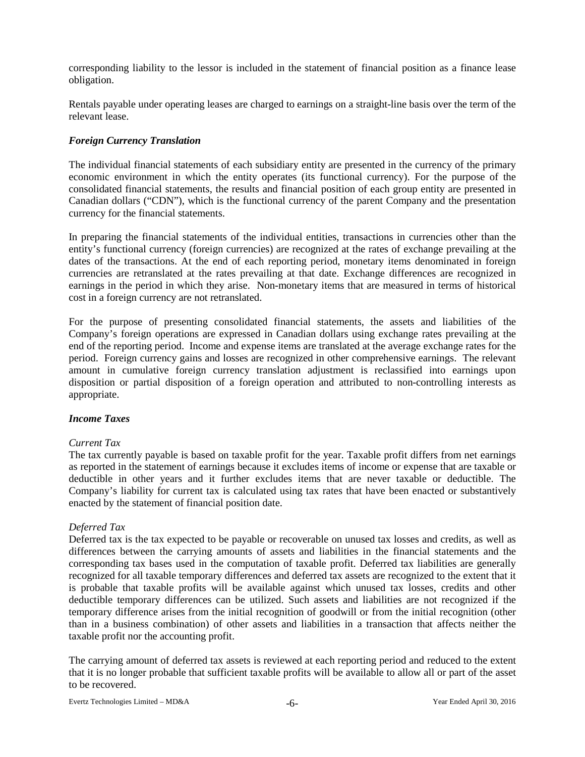corresponding liability to the lessor is included in the statement of financial position as a finance lease obligation.

Rentals payable under operating leases are charged to earnings on a straight-line basis over the term of the relevant lease.

# *Foreign Currency Translation*

The individual financial statements of each subsidiary entity are presented in the currency of the primary economic environment in which the entity operates (its functional currency). For the purpose of the consolidated financial statements, the results and financial position of each group entity are presented in Canadian dollars ("CDN"), which is the functional currency of the parent Company and the presentation currency for the financial statements.

In preparing the financial statements of the individual entities, transactions in currencies other than the entity's functional currency (foreign currencies) are recognized at the rates of exchange prevailing at the dates of the transactions. At the end of each reporting period, monetary items denominated in foreign currencies are retranslated at the rates prevailing at that date. Exchange differences are recognized in earnings in the period in which they arise. Non-monetary items that are measured in terms of historical cost in a foreign currency are not retranslated.

For the purpose of presenting consolidated financial statements, the assets and liabilities of the Company's foreign operations are expressed in Canadian dollars using exchange rates prevailing at the end of the reporting period. Income and expense items are translated at the average exchange rates for the period. Foreign currency gains and losses are recognized in other comprehensive earnings. The relevant amount in cumulative foreign currency translation adjustment is reclassified into earnings upon disposition or partial disposition of a foreign operation and attributed to non-controlling interests as appropriate.

#### *Income Taxes*

#### *Current Tax*

The tax currently payable is based on taxable profit for the year. Taxable profit differs from net earnings as reported in the statement of earnings because it excludes items of income or expense that are taxable or deductible in other years and it further excludes items that are never taxable or deductible. The Company's liability for current tax is calculated using tax rates that have been enacted or substantively enacted by the statement of financial position date.

#### *Deferred Tax*

Deferred tax is the tax expected to be payable or recoverable on unused tax losses and credits, as well as differences between the carrying amounts of assets and liabilities in the financial statements and the corresponding tax bases used in the computation of taxable profit. Deferred tax liabilities are generally recognized for all taxable temporary differences and deferred tax assets are recognized to the extent that it is probable that taxable profits will be available against which unused tax losses, credits and other deductible temporary differences can be utilized. Such assets and liabilities are not recognized if the temporary difference arises from the initial recognition of goodwill or from the initial recognition (other than in a business combination) of other assets and liabilities in a transaction that affects neither the taxable profit nor the accounting profit.

The carrying amount of deferred tax assets is reviewed at each reporting period and reduced to the extent that it is no longer probable that sufficient taxable profits will be available to allow all or part of the asset to be recovered.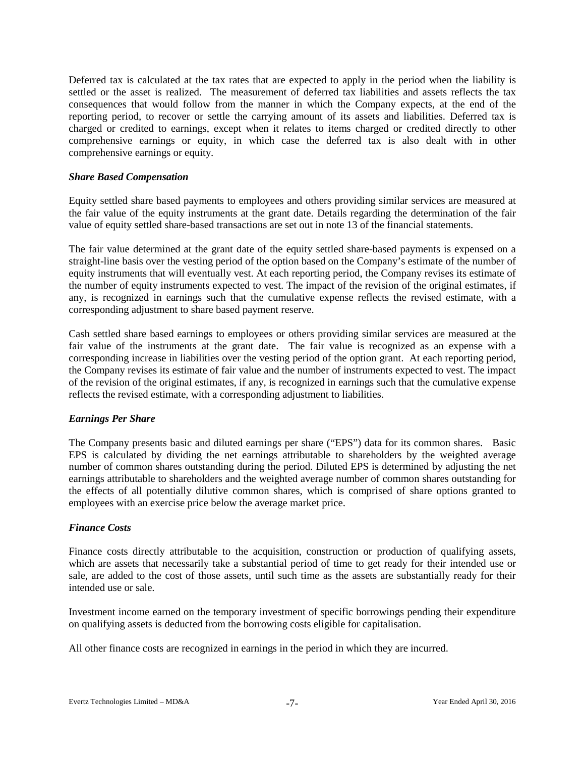Deferred tax is calculated at the tax rates that are expected to apply in the period when the liability is settled or the asset is realized. The measurement of deferred tax liabilities and assets reflects the tax consequences that would follow from the manner in which the Company expects, at the end of the reporting period, to recover or settle the carrying amount of its assets and liabilities. Deferred tax is charged or credited to earnings, except when it relates to items charged or credited directly to other comprehensive earnings or equity, in which case the deferred tax is also dealt with in other comprehensive earnings or equity.

### *Share Based Compensation*

Equity settled share based payments to employees and others providing similar services are measured at the fair value of the equity instruments at the grant date. Details regarding the determination of the fair value of equity settled share-based transactions are set out in note 13 of the financial statements.

The fair value determined at the grant date of the equity settled share-based payments is expensed on a straight-line basis over the vesting period of the option based on the Company's estimate of the number of equity instruments that will eventually vest. At each reporting period, the Company revises its estimate of the number of equity instruments expected to vest. The impact of the revision of the original estimates, if any, is recognized in earnings such that the cumulative expense reflects the revised estimate, with a corresponding adjustment to share based payment reserve.

Cash settled share based earnings to employees or others providing similar services are measured at the fair value of the instruments at the grant date. The fair value is recognized as an expense with a corresponding increase in liabilities over the vesting period of the option grant. At each reporting period, the Company revises its estimate of fair value and the number of instruments expected to vest. The impact of the revision of the original estimates, if any, is recognized in earnings such that the cumulative expense reflects the revised estimate, with a corresponding adjustment to liabilities.

# *Earnings Per Share*

The Company presents basic and diluted earnings per share ("EPS") data for its common shares. Basic EPS is calculated by dividing the net earnings attributable to shareholders by the weighted average number of common shares outstanding during the period. Diluted EPS is determined by adjusting the net earnings attributable to shareholders and the weighted average number of common shares outstanding for the effects of all potentially dilutive common shares, which is comprised of share options granted to employees with an exercise price below the average market price.

# *Finance Costs*

Finance costs directly attributable to the acquisition, construction or production of qualifying assets, which are assets that necessarily take a substantial period of time to get ready for their intended use or sale, are added to the cost of those assets, until such time as the assets are substantially ready for their intended use or sale.

Investment income earned on the temporary investment of specific borrowings pending their expenditure on qualifying assets is deducted from the borrowing costs eligible for capitalisation.

All other finance costs are recognized in earnings in the period in which they are incurred.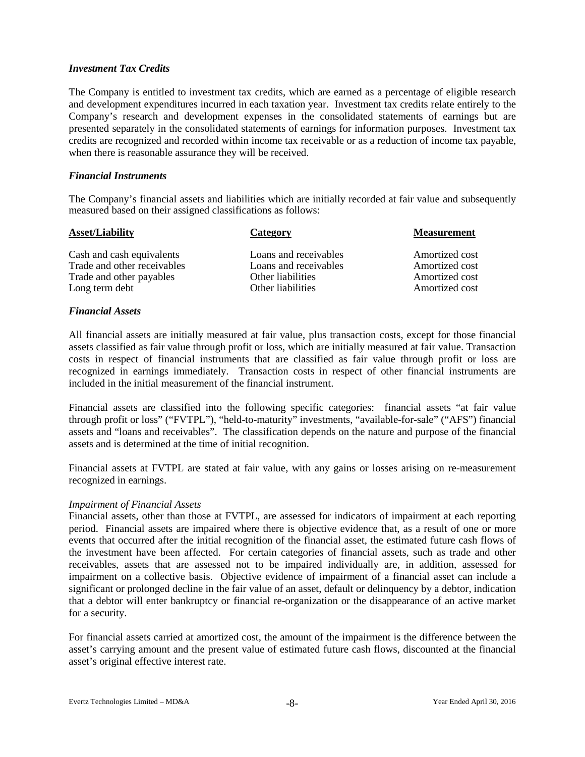### *Investment Tax Credits*

The Company is entitled to investment tax credits, which are earned as a percentage of eligible research and development expenditures incurred in each taxation year. Investment tax credits relate entirely to the Company's research and development expenses in the consolidated statements of earnings but are presented separately in the consolidated statements of earnings for information purposes. Investment tax credits are recognized and recorded within income tax receivable or as a reduction of income tax payable, when there is reasonable assurance they will be received.

### *Financial Instruments*

The Company's financial assets and liabilities which are initially recorded at fair value and subsequently measured based on their assigned classifications as follows:

| Category              | <b>Measurement</b> |
|-----------------------|--------------------|
| Loans and receivables | Amortized cost     |
| Loans and receivables | Amortized cost     |
| Other liabilities     | Amortized cost     |
| Other liabilities     | Amortized cost     |
|                       |                    |

# *Financial Assets*

All financial assets are initially measured at fair value, plus transaction costs, except for those financial assets classified as fair value through profit or loss, which are initially measured at fair value. Transaction costs in respect of financial instruments that are classified as fair value through profit or loss are recognized in earnings immediately. Transaction costs in respect of other financial instruments are included in the initial measurement of the financial instrument.

Financial assets are classified into the following specific categories: financial assets "at fair value through profit or loss" ("FVTPL"), "held-to-maturity" investments, "available-for-sale" ("AFS") financial assets and "loans and receivables". The classification depends on the nature and purpose of the financial assets and is determined at the time of initial recognition.

Financial assets at FVTPL are stated at fair value, with any gains or losses arising on re-measurement recognized in earnings.

#### *Impairment of Financial Assets*

Financial assets, other than those at FVTPL, are assessed for indicators of impairment at each reporting period. Financial assets are impaired where there is objective evidence that, as a result of one or more events that occurred after the initial recognition of the financial asset, the estimated future cash flows of the investment have been affected. For certain categories of financial assets, such as trade and other receivables, assets that are assessed not to be impaired individually are, in addition, assessed for impairment on a collective basis. Objective evidence of impairment of a financial asset can include a significant or prolonged decline in the fair value of an asset, default or delinquency by a debtor, indication that a debtor will enter bankruptcy or financial re-organization or the disappearance of an active market for a security.

For financial assets carried at amortized cost, the amount of the impairment is the difference between the asset's carrying amount and the present value of estimated future cash flows, discounted at the financial asset's original effective interest rate.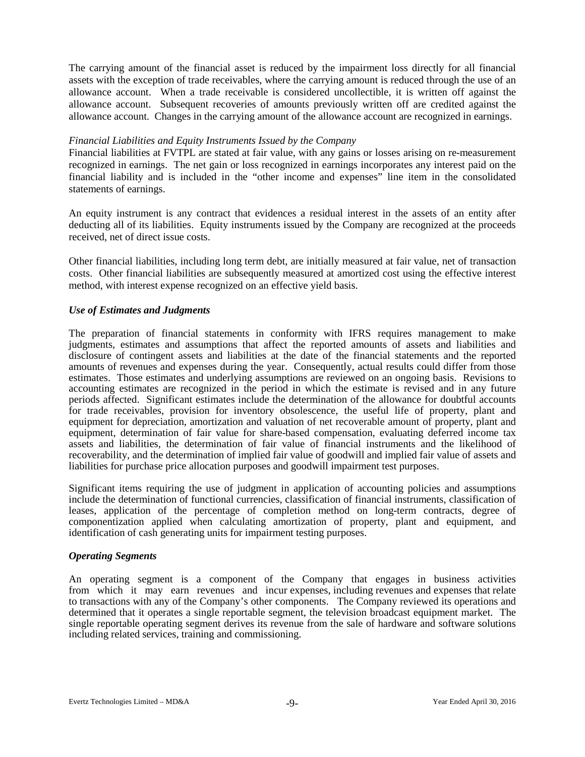The carrying amount of the financial asset is reduced by the impairment loss directly for all financial assets with the exception of trade receivables, where the carrying amount is reduced through the use of an allowance account. When a trade receivable is considered uncollectible, it is written off against the allowance account. Subsequent recoveries of amounts previously written off are credited against the allowance account. Changes in the carrying amount of the allowance account are recognized in earnings.

### *Financial Liabilities and Equity Instruments Issued by the Company*

Financial liabilities at FVTPL are stated at fair value, with any gains or losses arising on re-measurement recognized in earnings. The net gain or loss recognized in earnings incorporates any interest paid on the financial liability and is included in the "other income and expenses" line item in the consolidated statements of earnings.

An equity instrument is any contract that evidences a residual interest in the assets of an entity after deducting all of its liabilities. Equity instruments issued by the Company are recognized at the proceeds received, net of direct issue costs.

Other financial liabilities, including long term debt, are initially measured at fair value, net of transaction costs. Other financial liabilities are subsequently measured at amortized cost using the effective interest method, with interest expense recognized on an effective yield basis.

### *Use of Estimates and Judgments*

The preparation of financial statements in conformity with IFRS requires management to make judgments, estimates and assumptions that affect the reported amounts of assets and liabilities and disclosure of contingent assets and liabilities at the date of the financial statements and the reported amounts of revenues and expenses during the year. Consequently, actual results could differ from those estimates. Those estimates and underlying assumptions are reviewed on an ongoing basis. Revisions to accounting estimates are recognized in the period in which the estimate is revised and in any future periods affected. Significant estimates include the determination of the allowance for doubtful accounts for trade receivables, provision for inventory obsolescence, the useful life of property, plant and equipment for depreciation, amortization and valuation of net recoverable amount of property, plant and equipment, determination of fair value for share-based compensation, evaluating deferred income tax assets and liabilities, the determination of fair value of financial instruments and the likelihood of recoverability, and the determination of implied fair value of goodwill and implied fair value of assets and liabilities for purchase price allocation purposes and goodwill impairment test purposes.

Significant items requiring the use of judgment in application of accounting policies and assumptions include the determination of functional currencies, classification of financial instruments, classification of leases, application of the percentage of completion method on long-term contracts, degree of componentization applied when calculating amortization of property, plant and equipment, and identification of cash generating units for impairment testing purposes.

#### *Operating Segments*

An operating segment is a component of the Company that engages in business activities from which it may earn revenues and incur expenses, including revenues and expenses that relate to transactions with any of the Company's other components. The Company reviewed its operations and determined that it operates a single reportable segment, the television broadcast equipment market. The single reportable operating segment derives its revenue from the sale of hardware and software solutions including related services, training and commissioning.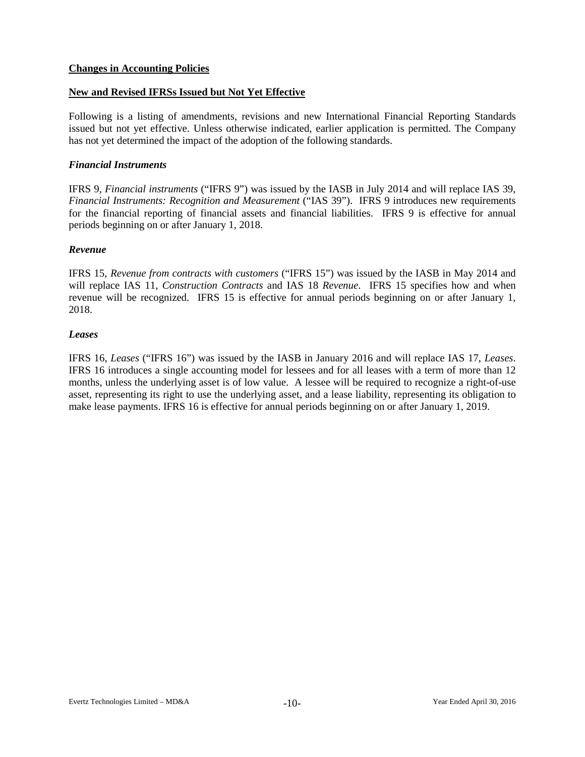# **Changes in Accounting Policies**

# **New and Revised IFRSs Issued but Not Yet Effective**

Following is a listing of amendments, revisions and new International Financial Reporting Standards issued but not yet effective. Unless otherwise indicated, earlier application is permitted. The Company has not yet determined the impact of the adoption of the following standards.

### *Financial Instruments*

IFRS 9, *Financial instruments* ("IFRS 9") was issued by the IASB in July 2014 and will replace IAS 39, *Financial Instruments: Recognition and Measurement* ("IAS 39"). IFRS 9 introduces new requirements for the financial reporting of financial assets and financial liabilities. IFRS 9 is effective for annual periods beginning on or after January 1, 2018.

### *Revenue*

IFRS 15, *Revenue from contracts with customers* ("IFRS 15") was issued by the IASB in May 2014 and will replace IAS 11, *Construction Contracts* and IAS 18 *Revenue*. IFRS 15 specifies how and when revenue will be recognized. IFRS 15 is effective for annual periods beginning on or after January 1, 2018.

### *Leases*

IFRS 16, *Leases* ("IFRS 16") was issued by the IASB in January 2016 and will replace IAS 17, *Leases*. IFRS 16 introduces a single accounting model for lessees and for all leases with a term of more than 12 months, unless the underlying asset is of low value. A lessee will be required to recognize a right-of-use asset, representing its right to use the underlying asset, and a lease liability, representing its obligation to make lease payments. IFRS 16 is effective for annual periods beginning on or after January 1, 2019.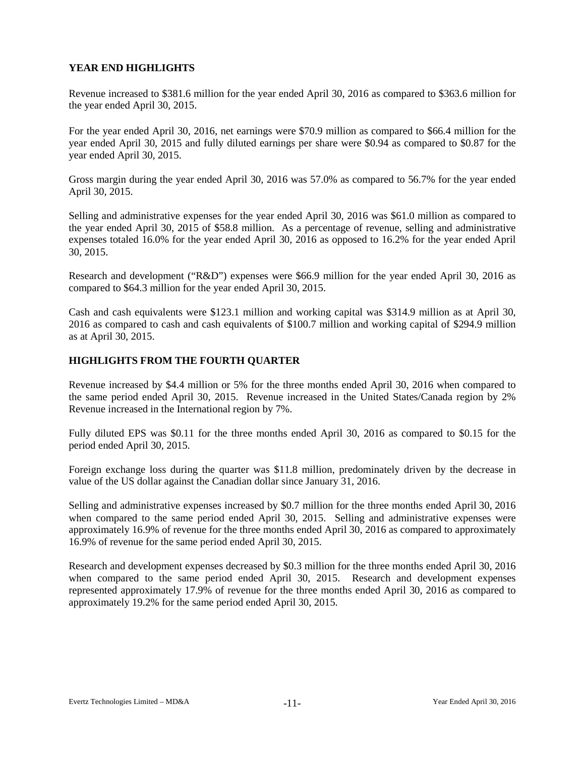# **YEAR END HIGHLIGHTS**

Revenue increased to \$381.6 million for the year ended April 30, 2016 as compared to \$363.6 million for the year ended April 30, 2015.

For the year ended April 30, 2016, net earnings were \$70.9 million as compared to \$66.4 million for the year ended April 30, 2015 and fully diluted earnings per share were \$0.94 as compared to \$0.87 for the year ended April 30, 2015.

Gross margin during the year ended April 30, 2016 was 57.0% as compared to 56.7% for the year ended April 30, 2015.

Selling and administrative expenses for the year ended April 30, 2016 was \$61.0 million as compared to the year ended April 30, 2015 of \$58.8 million. As a percentage of revenue, selling and administrative expenses totaled 16.0% for the year ended April 30, 2016 as opposed to 16.2% for the year ended April 30, 2015.

Research and development ("R&D") expenses were \$66.9 million for the year ended April 30, 2016 as compared to \$64.3 million for the year ended April 30, 2015.

Cash and cash equivalents were \$123.1 million and working capital was \$314.9 million as at April 30, 2016 as compared to cash and cash equivalents of \$100.7 million and working capital of \$294.9 million as at April 30, 2015.

# **HIGHLIGHTS FROM THE FOURTH QUARTER**

Revenue increased by \$4.4 million or 5% for the three months ended April 30, 2016 when compared to the same period ended April 30, 2015. Revenue increased in the United States/Canada region by 2% Revenue increased in the International region by 7%.

Fully diluted EPS was \$0.11 for the three months ended April 30, 2016 as compared to \$0.15 for the period ended April 30, 2015.

Foreign exchange loss during the quarter was \$11.8 million, predominately driven by the decrease in value of the US dollar against the Canadian dollar since January 31, 2016.

Selling and administrative expenses increased by \$0.7 million for the three months ended April 30, 2016 when compared to the same period ended April 30, 2015. Selling and administrative expenses were approximately 16.9% of revenue for the three months ended April 30, 2016 as compared to approximately 16.9% of revenue for the same period ended April 30, 2015.

Research and development expenses decreased by \$0.3 million for the three months ended April 30, 2016 when compared to the same period ended April 30, 2015. Research and development expenses represented approximately 17.9% of revenue for the three months ended April 30, 2016 as compared to approximately 19.2% for the same period ended April 30, 2015.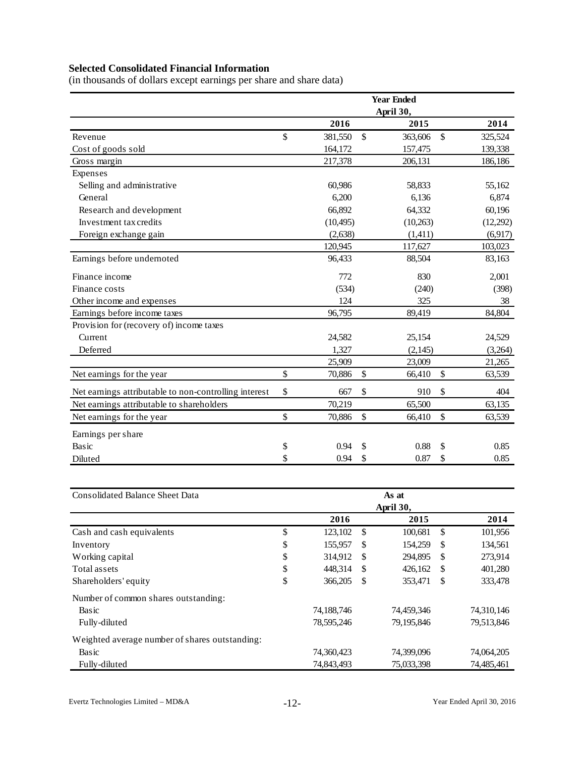# **Selected Consolidated Financial Information**

(in thousands of dollars except earnings per share and share data)

|                                                       |               |               | <b>Year Ended</b> |               |
|-------------------------------------------------------|---------------|---------------|-------------------|---------------|
|                                                       |               |               | April 30,         |               |
|                                                       | 2016          |               | 2015              | 2014          |
| Revenue                                               | \$<br>381,550 | $\mathsf{\$}$ | 363,606           | \$<br>325,524 |
| Cost of goods sold                                    | 164,172       |               | 157,475           | 139,338       |
| Gross margin                                          | 217,378       |               | 206,131           | 186,186       |
| Expenses                                              |               |               |                   |               |
| Selling and administrative                            | 60,986        |               | 58,833            | 55,162        |
| General                                               | 6,200         |               | 6,136             | 6,874         |
| Research and development                              | 66,892        |               | 64,332            | 60,196        |
| Investment tax credits                                | (10, 495)     |               | (10,263)          | (12,292)      |
| Foreign exchange gain                                 | (2,638)       |               | (1,411)           | (6,917)       |
|                                                       | 120,945       |               | 117,627           | 103,023       |
| Earnings before undernoted                            | 96,433        |               | 88,504            | 83,163        |
| Finance income                                        | 772           |               | 830               | 2,001         |
| Finance costs                                         | (534)         |               | (240)             | (398)         |
| Other income and expenses                             | 124           |               | 325               | 38            |
| Earnings before income taxes                          | 96,795        |               | 89,419            | 84,804        |
| Provision for (recovery of) income taxes              |               |               |                   |               |
| Current                                               | 24,582        |               | 25,154            | 24,529        |
| Deferred                                              | 1,327         |               | (2, 145)          | (3,264)       |
|                                                       | 25,909        |               | 23,009            | 21,265        |
| Net earnings for the year                             | \$<br>70,886  | \$            | 66,410            | \$<br>63,539  |
| Net earnings attributable to non-controlling interest | \$<br>667     | \$            | 910               | \$<br>404     |
| Net earnings attributable to shareholders             | 70,219        |               | 65,500            | 63,135        |
| Net earnings for the year                             | \$<br>70,886  | \$            | 66,410            | \$<br>63,539  |
| Earnings per share                                    |               |               |                   |               |
| Basic                                                 | \$<br>0.94    | \$            | 0.88              | \$<br>0.85    |
| Diluted                                               | \$<br>0.94    | \$            | 0.87              | \$<br>0.85    |

| <b>Consolidated Balance Sheet Data</b>         |    |            |               | As at      |               |            |
|------------------------------------------------|----|------------|---------------|------------|---------------|------------|
|                                                |    |            |               | April 30,  |               |            |
|                                                |    | 2016       |               | 2015       |               | 2014       |
| Cash and cash equivalents                      | \$ | 123,102    | <sup>\$</sup> | 100,681    | \$            | 101,956    |
| Inventory                                      | \$ | 155,957    | <sup>\$</sup> | 154,259    | \$            | 134,561    |
| Working capital                                | \$ | 314,912    | -S            | 294.895    | \$            | 273,914    |
| Total assets                                   | \$ | 448.314    | -S            | 426,162    | <sup>\$</sup> | 401,280    |
| Shareholders' equity                           | \$ | 366,205    | \$            | 353,471    | \$            | 333,478    |
| Number of common shares outstanding:           |    |            |               |            |               |            |
| Basic                                          |    | 74,188,746 |               | 74,459,346 |               | 74,310,146 |
| Fully-diluted                                  |    | 78,595,246 |               | 79,195,846 |               | 79,513,846 |
| Weighted average number of shares outstanding: |    |            |               |            |               |            |
| Basic                                          |    | 74,360,423 |               | 74,399,096 |               | 74,064,205 |
| Fully-diluted                                  |    | 74,843,493 |               | 75,033,398 |               | 74,485,461 |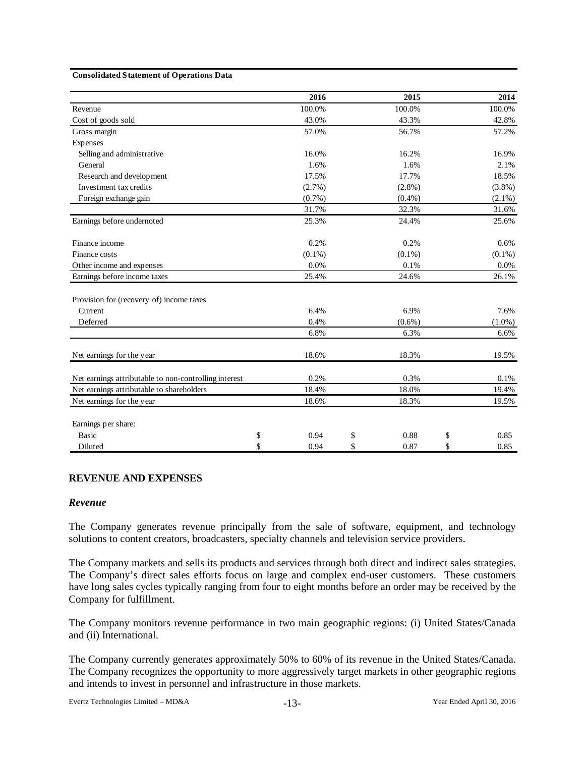#### **Consolidated Statement of Operations Data**

|                                                       | 2016       | 2015       | 2014       |
|-------------------------------------------------------|------------|------------|------------|
| Revenue                                               | 100.0%     | 100.0%     | 100.0%     |
| Cost of goods sold                                    | 43.0%      | 43.3%      | 42.8%      |
| Gross margin                                          | 57.0%      | 56.7%      | 57.2%      |
| Expenses                                              |            |            |            |
| Selling and administrative                            | 16.0%      | 16.2%      | 16.9%      |
| General                                               | 1.6%       | 1.6%       | 2.1%       |
| Research and development                              | 17.5%      | 17.7%      | 18.5%      |
| Investment tax credits                                | $(2.7\%)$  | $(2.8\%)$  | $(3.8\%)$  |
| Foreign exchange gain                                 | (0.7%)     | $(0.4\%)$  | $(2.1\%)$  |
|                                                       | 31.7%      | 32.3%      | 31.6%      |
| Earnings before undernoted                            | 25.3%      | 24.4%      | 25.6%      |
| Finance income                                        | 0.2%       | 0.2%       | 0.6%       |
| Finance costs                                         | $(0.1\%)$  | $(0.1\%)$  | $(0.1\%)$  |
| Other income and expenses                             | 0.0%       | 0.1%       | 0.0%       |
| Earnings before income taxes                          | 25.4%      | 24.6%      | 26.1%      |
| Provision for (recovery of) income taxes              |            |            |            |
| Current                                               | 6.4%       | 6.9%       | 7.6%       |
| Deferred                                              | 0.4%       | $(0.6\%)$  | $(1.0\%)$  |
|                                                       | 6.8%       | 6.3%       | 6.6%       |
| Net earnings for the year                             | 18.6%      | 18.3%      | 19.5%      |
| Net earnings attributable to non-controlling interest | 0.2%       | 0.3%       | 0.1%       |
| Net earnings attributable to shareholders             | 18.4%      | 18.0%      | 19.4%      |
| Net earnings for the year                             | 18.6%      | 18.3%      | 19.5%      |
| Earnings per share:                                   |            |            |            |
| <b>Basic</b>                                          | \$<br>0.94 | \$<br>0.88 | \$<br>0.85 |
| Diluted                                               | \$<br>0.94 | \$<br>0.87 | \$<br>0.85 |

#### **REVENUE AND EXPENSES**

#### *Revenue*

The Company generates revenue principally from the sale of software, equipment, and technology solutions to content creators, broadcasters, specialty channels and television service providers.

The Company markets and sells its products and services through both direct and indirect sales strategies. The Company's direct sales efforts focus on large and complex end-user customers. These customers have long sales cycles typically ranging from four to eight months before an order may be received by the Company for fulfillment.

The Company monitors revenue performance in two main geographic regions: (i) United States/Canada and (ii) International.

The Company currently generates approximately 50% to 60% of its revenue in the United States/Canada. The Company recognizes the opportunity to more aggressively target markets in other geographic regions and intends to invest in personnel and infrastructure in those markets.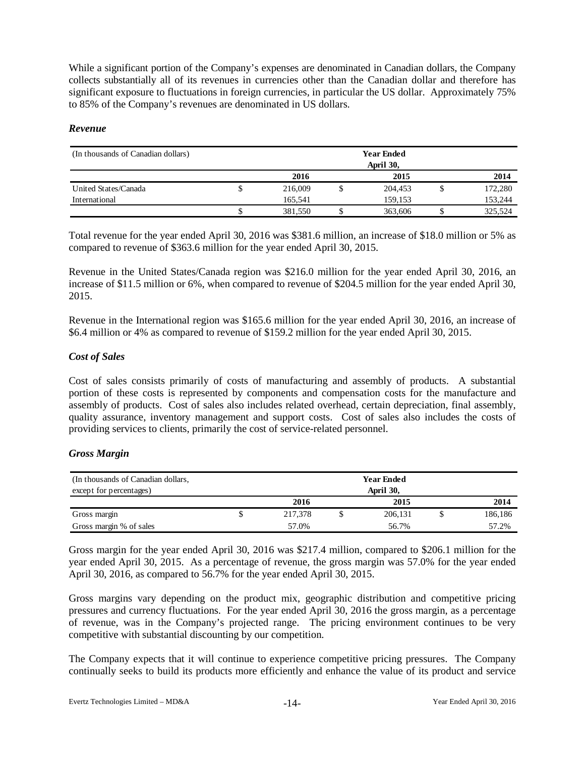While a significant portion of the Company's expenses are denominated in Canadian dollars, the Company collects substantially all of its revenues in currencies other than the Canadian dollar and therefore has significant exposure to fluctuations in foreign currencies, in particular the US dollar. Approximately 75% to 85% of the Company's revenues are denominated in US dollars.

### *Revenue*

| (In thousands of Canadian dollars) | <b>Year Ended</b><br>April 30, |         |  |         |  |         |
|------------------------------------|--------------------------------|---------|--|---------|--|---------|
|                                    |                                | 2016    |  | 2015    |  | 2014    |
| United States/Canada               |                                | 216,009 |  | 204.453 |  | 172,280 |
| International                      |                                | 165.541 |  | 159.153 |  | 153,244 |
|                                    |                                | 381,550 |  | 363,606 |  | 325,524 |

Total revenue for the year ended April 30, 2016 was \$381.6 million, an increase of \$18.0 million or 5% as compared to revenue of \$363.6 million for the year ended April 30, 2015.

Revenue in the United States/Canada region was \$216.0 million for the year ended April 30, 2016, an increase of \$11.5 million or 6%, when compared to revenue of \$204.5 million for the year ended April 30, 2015.

Revenue in the International region was \$165.6 million for the year ended April 30, 2016, an increase of \$6.4 million or 4% as compared to revenue of \$159.2 million for the year ended April 30, 2015.

## *Cost of Sales*

Cost of sales consists primarily of costs of manufacturing and assembly of products. A substantial portion of these costs is represented by components and compensation costs for the manufacture and assembly of products. Cost of sales also includes related overhead, certain depreciation, final assembly, quality assurance, inventory management and support costs. Cost of sales also includes the costs of providing services to clients, primarily the cost of service-related personnel.

# *Gross Margin*

| (In thousands of Canadian dollars, | <b>Year Ended</b> |         |  |         |  |         |
|------------------------------------|-------------------|---------|--|---------|--|---------|
| except for percentages)            | April 30,         |         |  |         |  |         |
|                                    |                   | 2016    |  | 2015    |  | 2014    |
| Gross margin                       |                   | 217,378 |  | 206,131 |  | 186,186 |
| Gross margin % of sales            |                   | 57.0%   |  | 56.7%   |  | 57.2%   |

Gross margin for the year ended April 30, 2016 was \$217.4 million, compared to \$206.1 million for the year ended April 30, 2015. As a percentage of revenue, the gross margin was 57.0% for the year ended April 30, 2016, as compared to 56.7% for the year ended April 30, 2015.

Gross margins vary depending on the product mix, geographic distribution and competitive pricing pressures and currency fluctuations. For the year ended April 30, 2016 the gross margin, as a percentage of revenue, was in the Company's projected range. The pricing environment continues to be very competitive with substantial discounting by our competition.

The Company expects that it will continue to experience competitive pricing pressures. The Company continually seeks to build its products more efficiently and enhance the value of its product and service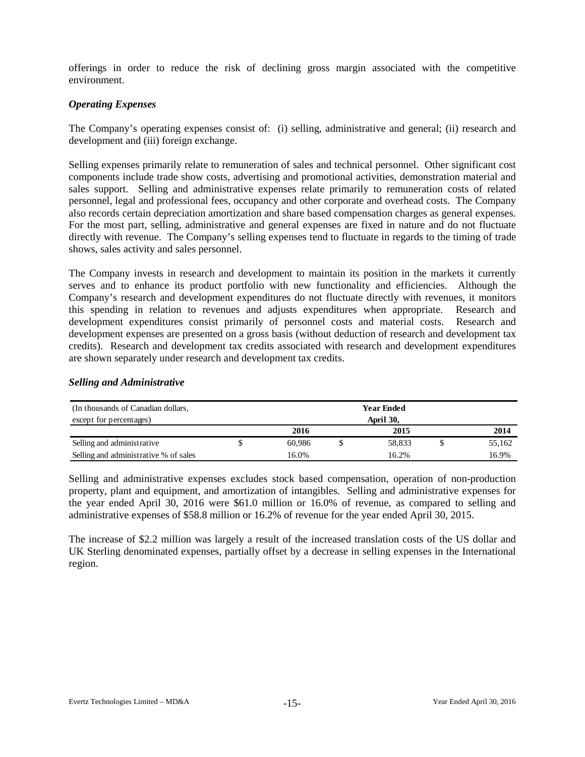offerings in order to reduce the risk of declining gross margin associated with the competitive environment.

# *Operating Expenses*

The Company's operating expenses consist of: (i) selling, administrative and general; (ii) research and development and (iii) foreign exchange.

Selling expenses primarily relate to remuneration of sales and technical personnel. Other significant cost components include trade show costs, advertising and promotional activities, demonstration material and sales support. Selling and administrative expenses relate primarily to remuneration costs of related personnel, legal and professional fees, occupancy and other corporate and overhead costs. The Company also records certain depreciation amortization and share based compensation charges as general expenses. For the most part, selling, administrative and general expenses are fixed in nature and do not fluctuate directly with revenue. The Company's selling expenses tend to fluctuate in regards to the timing of trade shows, sales activity and sales personnel.

The Company invests in research and development to maintain its position in the markets it currently serves and to enhance its product portfolio with new functionality and efficiencies. Although the Company's research and development expenditures do not fluctuate directly with revenues, it monitors this spending in relation to revenues and adjusts expenditures when appropriate. Research and development expenditures consist primarily of personnel costs and material costs. Research and development expenses are presented on a gross basis (without deduction of research and development tax credits). Research and development tax credits associated with research and development expenditures are shown separately under research and development tax credits.

# *Selling and Administrative*

| (In thousands of Canadian dollars,    | <b>Year Ended</b> |  |        |  |        |
|---------------------------------------|-------------------|--|--------|--|--------|
| except for percentages)               | April 30.         |  |        |  |        |
|                                       | 2016              |  | 2015   |  | 2014   |
| Selling and administrative            | 60.986            |  | 58.833 |  | 55,162 |
| Selling and administrative % of sales | 16.0%             |  | 16.2%  |  | 16.9%  |

Selling and administrative expenses excludes stock based compensation, operation of non-production property, plant and equipment, and amortization of intangibles. Selling and administrative expenses for the year ended April 30, 2016 were \$61.0 million or 16.0% of revenue, as compared to selling and administrative expenses of \$58.8 million or 16.2% of revenue for the year ended April 30, 2015.

The increase of \$2.2 million was largely a result of the increased translation costs of the US dollar and UK Sterling denominated expenses, partially offset by a decrease in selling expenses in the International region.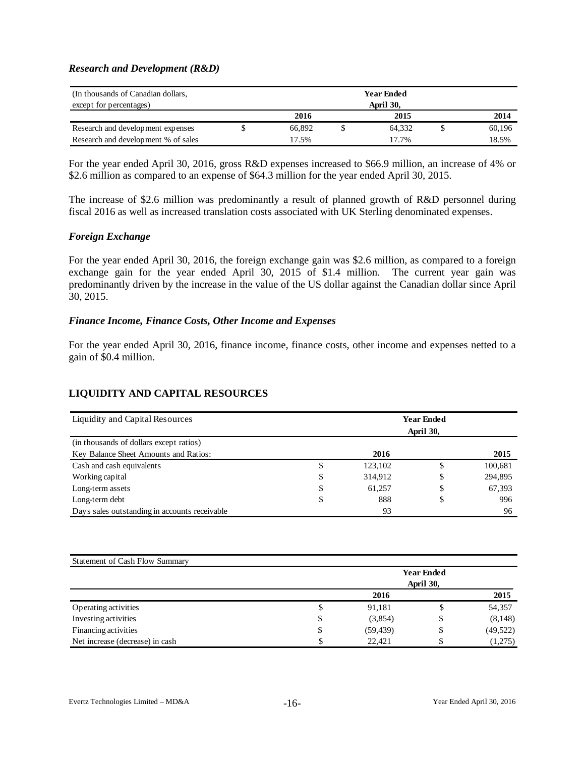### *Research and Development (R&D)*

| (In thousands of Canadian dollars,  | <b>Year Ended</b> |  |        |  |        |
|-------------------------------------|-------------------|--|--------|--|--------|
| except for percentages)             | April 30,         |  |        |  |        |
|                                     | 2016              |  | 2015   |  | 2014   |
| Research and development expenses   | 66.892            |  | 64.332 |  | 60,196 |
| Research and development % of sales | 17.5%             |  | 17.7%  |  | 18.5%  |

For the year ended April 30, 2016, gross R&D expenses increased to \$66.9 million, an increase of 4% or \$2.6 million as compared to an expense of \$64.3 million for the year ended April 30, 2015.

The increase of \$2.6 million was predominantly a result of planned growth of R&D personnel during fiscal 2016 as well as increased translation costs associated with UK Sterling denominated expenses.

### *Foreign Exchange*

For the year ended April 30, 2016, the foreign exchange gain was \$2.6 million, as compared to a foreign exchange gain for the year ended April 30, 2015 of \$1.4 million. The current year gain was predominantly driven by the increase in the value of the US dollar against the Canadian dollar since April 30, 2015.

#### *Finance Income, Finance Costs, Other Income and Expenses*

For the year ended April 30, 2016, finance income, finance costs, other income and expenses netted to a gain of \$0.4 million.

# **LIQUIDITY AND CAPITAL RESOURCES**

| Liquidity and Capital Resources               | <b>Year Ended</b><br>April 30, |         |    |         |  |  |
|-----------------------------------------------|--------------------------------|---------|----|---------|--|--|
| (in thousands of dollars except ratios)       |                                |         |    |         |  |  |
| Key Balance Sheet Amounts and Ratios:         |                                | 2016    |    | 2015    |  |  |
| Cash and cash equivalents                     | \$                             | 123,102 | \$ | 100,681 |  |  |
| Working capital                               | S                              | 314,912 | \$ | 294,895 |  |  |
| Long-term assets                              | \$                             | 61.257  | \$ | 67,393  |  |  |
| Long-term debt                                |                                | 888     | \$ | 996     |  |  |
| Days sales outstanding in accounts receivable |                                | 93      |    | 96      |  |  |

| <b>Statement of Cash Flow Summary</b> |                   |           |           |           |  |  |  |
|---------------------------------------|-------------------|-----------|-----------|-----------|--|--|--|
|                                       | <b>Year Ended</b> |           |           |           |  |  |  |
|                                       |                   |           | April 30, |           |  |  |  |
|                                       |                   | 2016      |           | 2015      |  |  |  |
| Operating activities                  | \$                | 91,181    | Φ         | 54,357    |  |  |  |
| Investing activities                  | S                 | (3,854)   | \$        | (8,148)   |  |  |  |
| Financing activities                  | \$                | (59, 439) | \$        | (49, 522) |  |  |  |
| Net increase (decrease) in cash       |                   | 22,421    |           | (1,275)   |  |  |  |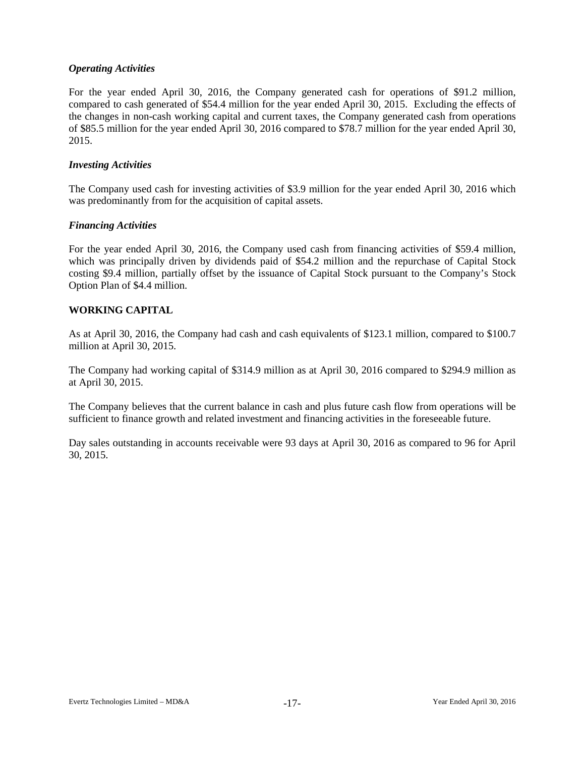# *Operating Activities*

For the year ended April 30, 2016, the Company generated cash for operations of \$91.2 million, compared to cash generated of \$54.4 million for the year ended April 30, 2015. Excluding the effects of the changes in non-cash working capital and current taxes, the Company generated cash from operations of \$85.5 million for the year ended April 30, 2016 compared to \$78.7 million for the year ended April 30, 2015.

### *Investing Activities*

The Company used cash for investing activities of \$3.9 million for the year ended April 30, 2016 which was predominantly from for the acquisition of capital assets.

### *Financing Activities*

For the year ended April 30, 2016, the Company used cash from financing activities of \$59.4 million, which was principally driven by dividends paid of \$54.2 million and the repurchase of Capital Stock costing \$9.4 million, partially offset by the issuance of Capital Stock pursuant to the Company's Stock Option Plan of \$4.4 million.

# **WORKING CAPITAL**

As at April 30, 2016, the Company had cash and cash equivalents of \$123.1 million, compared to \$100.7 million at April 30, 2015.

The Company had working capital of \$314.9 million as at April 30, 2016 compared to \$294.9 million as at April 30, 2015.

The Company believes that the current balance in cash and plus future cash flow from operations will be sufficient to finance growth and related investment and financing activities in the foreseeable future.

Day sales outstanding in accounts receivable were 93 days at April 30, 2016 as compared to 96 for April 30, 2015.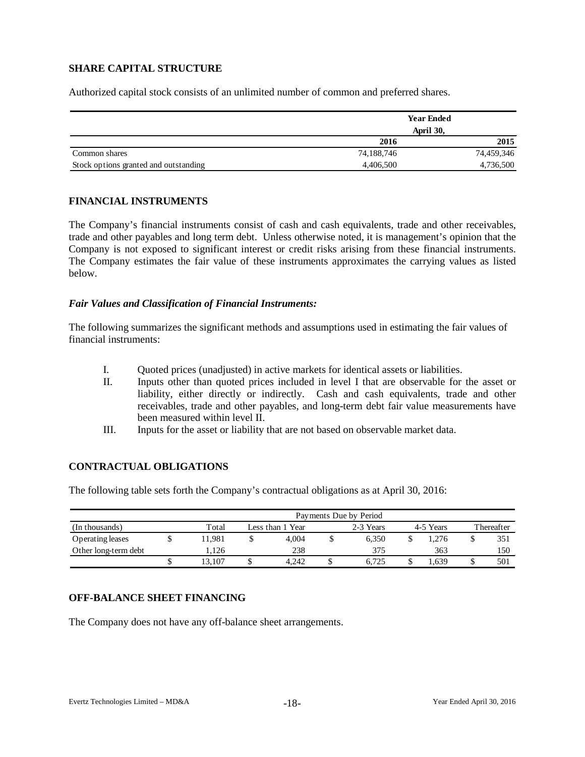# **SHARE CAPITAL STRUCTURE**

Authorized capital stock consists of an unlimited number of common and preferred shares.

|                                       |            | <b>Year Ended</b> |  |
|---------------------------------------|------------|-------------------|--|
|                                       | April 30,  |                   |  |
|                                       | 2016       | 2015              |  |
| Common shares                         | 74,188,746 | 74,459,346        |  |
| Stock options granted and outstanding | 4,406,500  | 4,736,500         |  |

### **FINANCIAL INSTRUMENTS**

The Company's financial instruments consist of cash and cash equivalents, trade and other receivables, trade and other payables and long term debt. Unless otherwise noted, it is management's opinion that the Company is not exposed to significant interest or credit risks arising from these financial instruments. The Company estimates the fair value of these instruments approximates the carrying values as listed below.

### *Fair Values and Classification of Financial Instruments:*

The following summarizes the significant methods and assumptions used in estimating the fair values of financial instruments:

- I. Quoted prices (unadjusted) in active markets for identical assets or liabilities.
- II. Inputs other than quoted prices included in level I that are observable for the asset or liability, either directly or indirectly. Cash and cash equivalents, trade and other receivables, trade and other payables, and long-term debt fair value measurements have been measured within level II.
- III. Inputs for the asset or liability that are not based on observable market data.

# **CONTRACTUAL OBLIGATIONS**

The following table sets forth the Company's contractual obligations as at April 30, 2016:

|                      | Payments Due by Period |                  |       |  |           |           |      |            |     |  |  |  |  |
|----------------------|------------------------|------------------|-------|--|-----------|-----------|------|------------|-----|--|--|--|--|
| (In thousands)       | Total                  | Less than 1 Year |       |  | 2-3 Years | 4-5 Years |      | Thereafter |     |  |  |  |  |
| Operating leases     | 1.981                  |                  | 4.004 |  | 6.350     |           | .276 |            | 351 |  |  |  |  |
| Other long-term debt | 1.126                  |                  | 238   |  | 375       |           | 363  |            | 150 |  |  |  |  |
|                      | 3.107                  | J                | 4.242 |  | 6.725     |           | .639 |            | 501 |  |  |  |  |

#### **OFF-BALANCE SHEET FINANCING**

The Company does not have any off-balance sheet arrangements.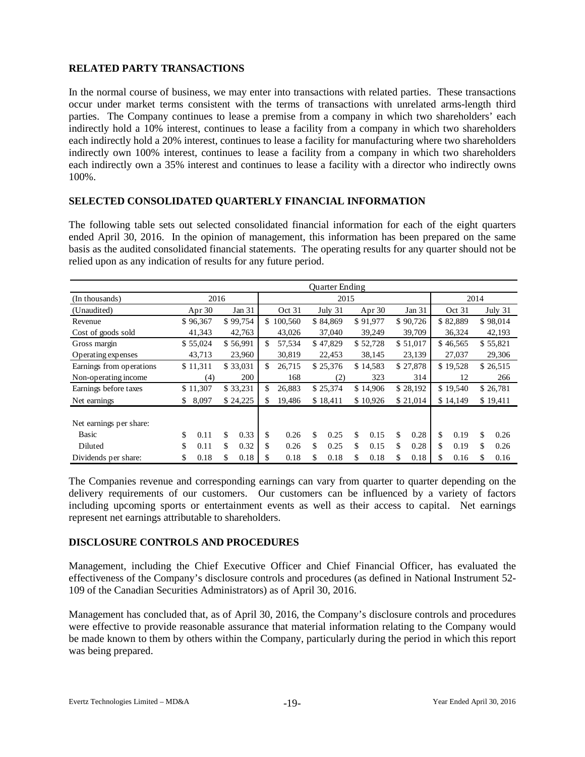# **RELATED PARTY TRANSACTIONS**

In the normal course of business, we may enter into transactions with related parties. These transactions occur under market terms consistent with the terms of transactions with unrelated arms-length third parties. The Company continues to lease a premise from a company in which two shareholders' each indirectly hold a 10% interest, continues to lease a facility from a company in which two shareholders each indirectly hold a 20% interest, continues to lease a facility for manufacturing where two shareholders indirectly own 100% interest, continues to lease a facility from a company in which two shareholders each indirectly own a 35% interest and continues to lease a facility with a director who indirectly owns 100%.

# **SELECTED CONSOLIDATED QUARTERLY FINANCIAL INFORMATION**

The following table sets out selected consolidated financial information for each of the eight quarters ended April 30, 2016. In the opinion of management, this information has been prepared on the same basis as the audited consolidated financial statements. The operating results for any quarter should not be relied upon as any indication of results for any future period.

|                          | <b>Ouarter Ending</b> |          |          |          |     |         |                      |          |          |          |          |          |          |          |          |          |
|--------------------------|-----------------------|----------|----------|----------|-----|---------|----------------------|----------|----------|----------|----------|----------|----------|----------|----------|----------|
| (In thousands)           | 2016                  |          |          | 2015     |     |         |                      |          |          |          |          | 2014     |          |          |          |          |
| (Unaudited)              | Apr $30$              |          | Jan 31   |          |     | Oct 31  |                      | July 31  |          | Apr $30$ | Jan 31   |          | Oct 31   |          | July 31  |          |
| Revenue                  |                       | \$96,367 |          | \$99,754 | \$  | 100,560 |                      | \$84,869 |          | \$91,977 |          | \$90,726 |          | \$82,889 |          | \$98,014 |
| Cost of goods sold       | 41,343                |          | 42,763   |          |     | 43,026  | 37,040               |          | 39,249   |          | 39,709   |          | 36,324   |          | 42,193   |          |
| Gross margin             |                       | \$55,024 |          | \$56,991 | \$. | 57,534  |                      | \$47,829 |          | \$52,728 |          | \$51,017 |          | \$46,565 |          | \$55,821 |
| Operating expenses       |                       | 43,713   |          | 23,960   |     | 30,819  |                      | 22,453   |          | 38,145   |          | 23,139   |          | 27,037   |          | 29,306   |
| Earnings from operations |                       | \$11,311 |          | \$33,031 | \$  | 26,715  |                      | \$25,376 |          | \$14,583 |          | \$27,878 |          | \$19,528 |          | \$26,515 |
| Non-operating income     | (4)                   |          | 200      |          | 168 |         | (2)                  |          | 323      | 314      |          | 12       |          | 266      |          |          |
| Earnings before taxes    | \$11,307              |          | \$33,231 |          | \$. | 26,883  | \$25,374<br>\$14,906 |          |          | \$28,192 |          | \$19,540 |          | \$26,781 |          |          |
| Net earnings             | 8,097<br>\$           |          | \$24,225 |          | \$. | 19,486  |                      | \$18,411 | \$10,926 |          | \$21,014 |          | \$14,149 |          | \$19,411 |          |
|                          |                       |          |          |          |     |         |                      |          |          |          |          |          |          |          |          |          |
| Net earnings per share:  |                       |          |          |          |     |         |                      |          |          |          |          |          |          |          |          |          |
| Basic                    | \$                    | 0.11     | \$       | 0.33     | \$  | 0.26    | \$.                  | 0.25     | \$       | 0.15     | \$       | 0.28     | \$       | 0.19     | \$       | 0.26     |
| <b>Diluted</b>           | \$                    | 0.11     | \$       | 0.32     | \$  | 0.26    | \$                   | 0.25     | \$       | 0.15     | \$       | 0.28     | \$       | 0.19     | \$       | 0.26     |
| Dividends per share:     | \$                    | 0.18     | \$       | 0.18     |     | 0.18    | \$                   | 0.18     | \$       | 0.18     |          | 0.18     |          | 0.16     | \$       | 0.16     |

The Companies revenue and corresponding earnings can vary from quarter to quarter depending on the delivery requirements of our customers. Our customers can be influenced by a variety of factors including upcoming sports or entertainment events as well as their access to capital. Net earnings represent net earnings attributable to shareholders.

# **DISCLOSURE CONTROLS AND PROCEDURES**

Management, including the Chief Executive Officer and Chief Financial Officer, has evaluated the effectiveness of the Company's disclosure controls and procedures (as defined in National Instrument 52- 109 of the Canadian Securities Administrators) as of April 30, 2016.

Management has concluded that, as of April 30, 2016, the Company's disclosure controls and procedures were effective to provide reasonable assurance that material information relating to the Company would be made known to them by others within the Company, particularly during the period in which this report was being prepared.